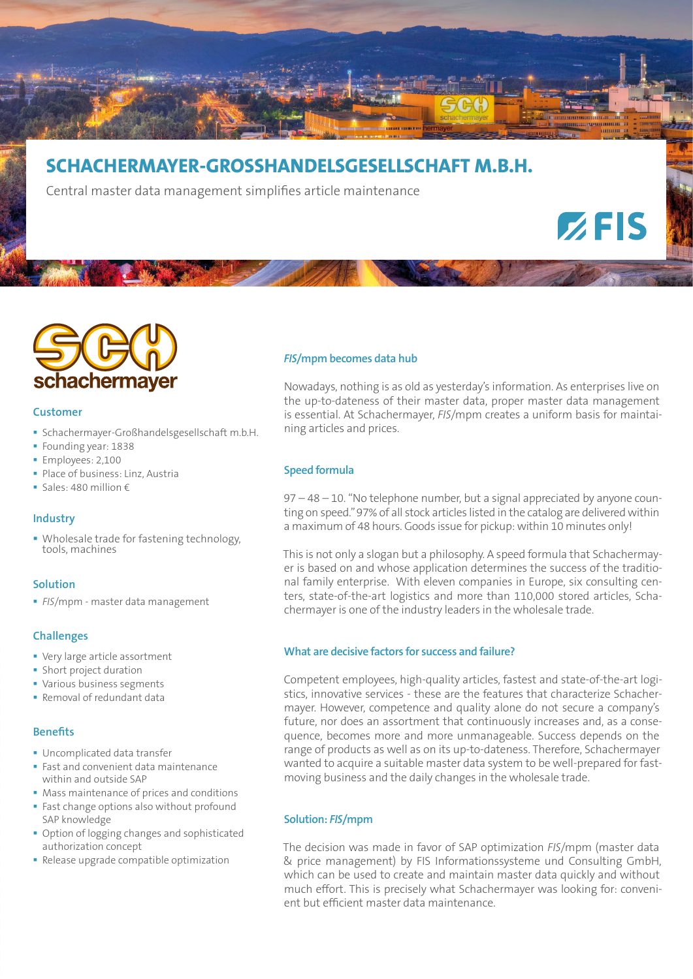

# **SCHACHERMAYER-GROSSHANDELSGESELLSCHAFT M.B.H.**

Central master data management simplifies article maintenance



#### **Customer**

- Schachermayer-Großhandelsgesellschaft m.b.H.
- Founding year: 1838
- **Employees: 2,100**
- Place of business: Linz, Austria
- Sales: 480 million  $\epsilon$

# **Industry**

• Wholesale trade for fastening technology, tools, machines

# **Solution**

*FIS*/mpm - master data management

# **Challenges**

- Very large article assortment
- **Short project duration**
- Various business segments
- Removal of redundant data

# **Benefits**

- Uncomplicated data transfer
- **Fast and convenient data maintenance** within and outside SAP
- **Mass maintenance of prices and conditions**
- **Fast change options also without profound** SAP knowledge
- Option of logging changes and sophisticated authorization concept
- Release upgrade compatible optimization

# *FIS***/mpm becomes data hub**

Nowadays, nothing is as old as yesterday's information. As enterprises live on the up-to-dateness of their master data, proper master data management is essential. At Schachermayer, *FIS*/mpm creates a uniform basis for maintaining articles and prices.

 $Z$ FIS

# **Speed formula**

97 – 48 – 10. "No telephone number, but a signal appreciated by anyone counting on speed." 97% of all stock articles listed in the catalog are delivered within a maximum of 48 hours. Goods issue for pickup: within 10 minutes only!

This is not only a slogan but a philosophy. A speed formula that Schachermayer is based on and whose application determines the success of the traditional family enterprise. With eleven companies in Europe, six consulting centers, state-of-the-art logistics and more than 110,000 stored articles, Schachermayer is one of the industry leaders in the wholesale trade.

# **What are decisive factors for success and failure?**

Competent employees, high-quality articles, fastest and state-of-the-art logistics, innovative services - these are the features that characterize Schachermayer. However, competence and quality alone do not secure a company's future, nor does an assortment that continuously increases and, as a consequence, becomes more and more unmanageable. Success depends on the range of products as well as on its up-to-dateness. Therefore, Schachermayer wanted to acquire a suitable master data system to be well-prepared for fastmoving business and the daily changes in the wholesale trade.

# **Solution:** *FIS***/mpm**

The decision was made in favor of SAP optimization *FIS*/mpm (master data & price management) by FIS Informationssysteme und Consulting GmbH, which can be used to create and maintain master data quickly and without much effort. This is precisely what Schachermayer was looking for: convenient but efficient master data maintenance.